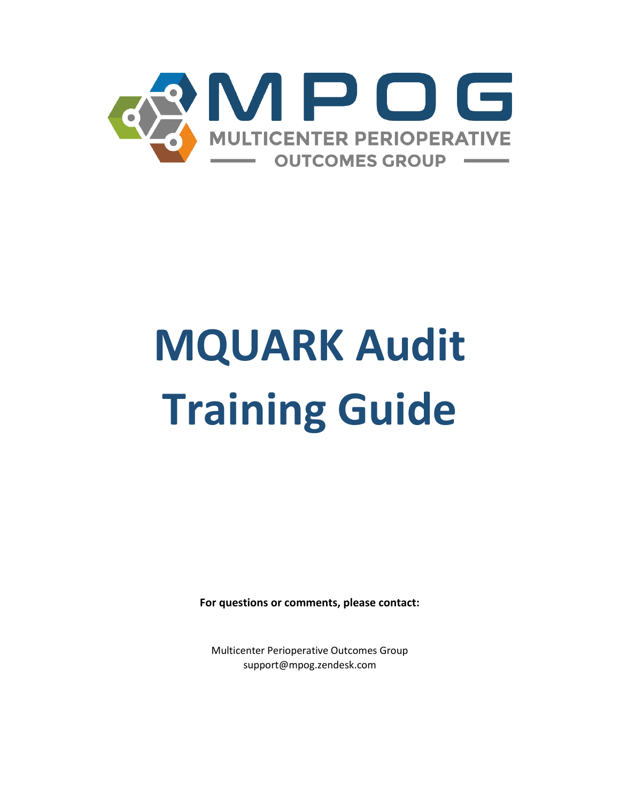

# **MQUARK Audit Training Guide**

**For questions or comments, please contact:**

Multicenter Perioperative Outcomes Group support@mpog.zendesk.com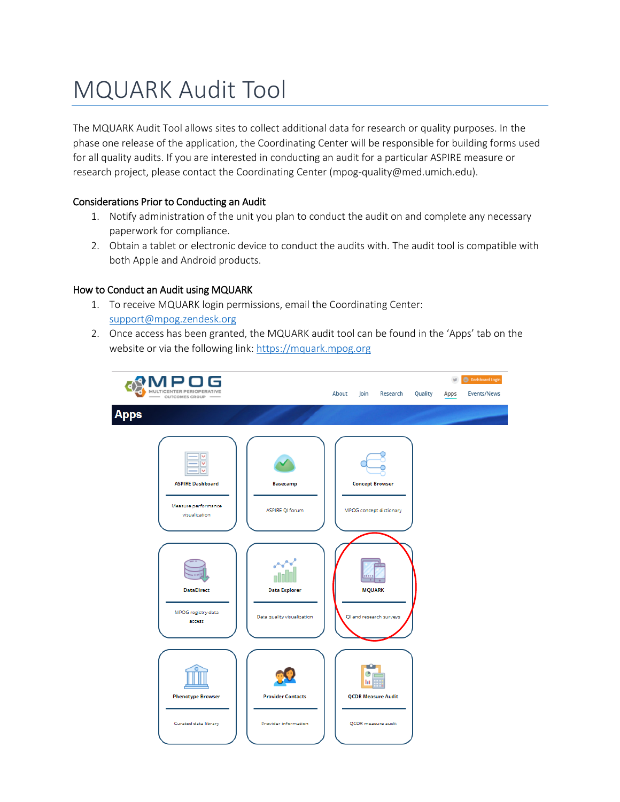# MQUARK Audit Tool

The MQUARK Audit Tool allows sites to collect additional data for research or quality purposes. In the phase one release of the application, the Coordinating Center will be responsible for building forms used for all quality audits. If you are interested in conducting an audit for a particular ASPIRE measure or research project, please contact the Coordinating Center (mpog-quality@med.umich.edu).

### Considerations Prior to Conducting an Audit

- 1. Notify administration of the unit you plan to conduct the audit on and complete any necessary paperwork for compliance.
- 2. Obtain a tablet or electronic device to conduct the audits with. The audit tool is compatible with both Apple and Android products.

### How to Conduct an Audit using MQUARK

- 1. To receive MQUARK login permissions, email the Coordinating Center: [support@mpog.zendesk.org](mailto:MPOG-quality@med.umich.edu)
- 2. Once access has been granted, the MQUARK audit tool can be found in the 'Apps' tab on the website or via the following link: [https://mquark.mpog.org](https://mquark.mpog.org/)

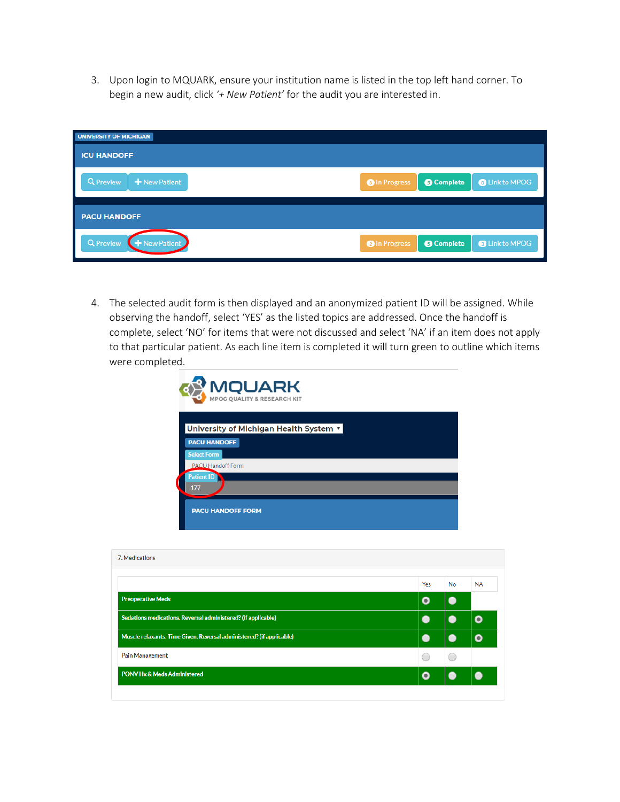3. Upon login to MQUARK, ensure your institution name is listed in the top left hand corner. To begin a new audit, click *'+ New Patient'* for the audit you are interested in.

| <b>UNIVERSITY OF MICHIGAN</b>   |                                                                    |
|---------------------------------|--------------------------------------------------------------------|
| <b>ICU HANDOFF</b>              |                                                                    |
| Q Preview<br>+ New Patient      | <b>6</b> Complete<br><b>O</b> Link to MPOG<br><b>O</b> In Progress |
| <b>PACU HANDOFF</b>             |                                                                    |
| <b>Q</b> Preview<br>New Patient | <b>O</b> Link to MPOG<br><b>G</b> Complete<br><b>O</b> In Progress |

4. The selected audit form is then displayed and an anonymized patient ID will be assigned. While observing the handoff, select 'YES' as the listed topics are addressed. Once the handoff is complete, select 'NO' for items that were not discussed and select 'NA' if an item does not apply to that particular patient. As each line item is completed it will turn green to outline which items were completed.

| <b>MQUARK</b><br><b>MPOG QUALITY &amp; RESEARCH KIT</b>       |
|---------------------------------------------------------------|
| University of Michigan Health System v<br><b>PACU HANDOFF</b> |
| <b>Select Form</b><br><b>PACU Handoff Form</b><br>Patient ID  |
| 177<br><b>PACU HANDOFF FORM</b>                               |

| 7. Medications                                                       |          |           |           |
|----------------------------------------------------------------------|----------|-----------|-----------|
|                                                                      | Yes      | <b>No</b> | <b>NA</b> |
| <b>Preoperative Meds</b>                                             | Ω        |           |           |
| Sedations medications. Reversal administered? (if applicable)        |          |           | $\bullet$ |
| Muscle relaxants: Time Given. Reversal administered? (if applicable) |          |           |           |
| <b>Pain Management</b>                                               |          |           |           |
| <b>PONV Hx &amp; Meds Administered</b>                               | $\Omega$ |           |           |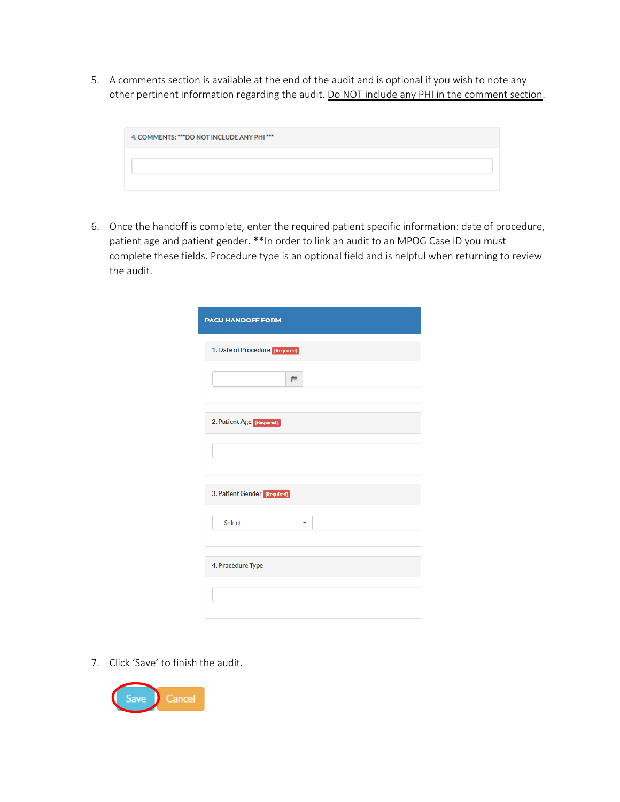5. A comments section is available at the end of the audit and is optional if you wish to note any other pertinent information regarding the audit. Do NOT include any PHI in the comment section.

| 4. COMMENTS: *** DO NOT INCLUDE ANY PHI *** |  |
|---------------------------------------------|--|
|                                             |  |
|                                             |  |

6. Once the handoff is complete, enter the required patient specific information: date of procedure, patient age and patient gender. \*\*In order to link an audit to an MPOG Case ID you must complete these fields. Procedure type is an optional field and is helpful when returning to review the audit.

| <b>PACU HANDOFF FORM</b>        |
|---------------------------------|
| 1. Date of Procedure [Required] |
| 鱛                               |
| 2. Patient Age [Required]       |
|                                 |
| 3. Patient Gender [Required]    |
| $-$ Select $-$                  |
| 4. Procedure Type               |
|                                 |

7. Click 'Save' to finish the audit.

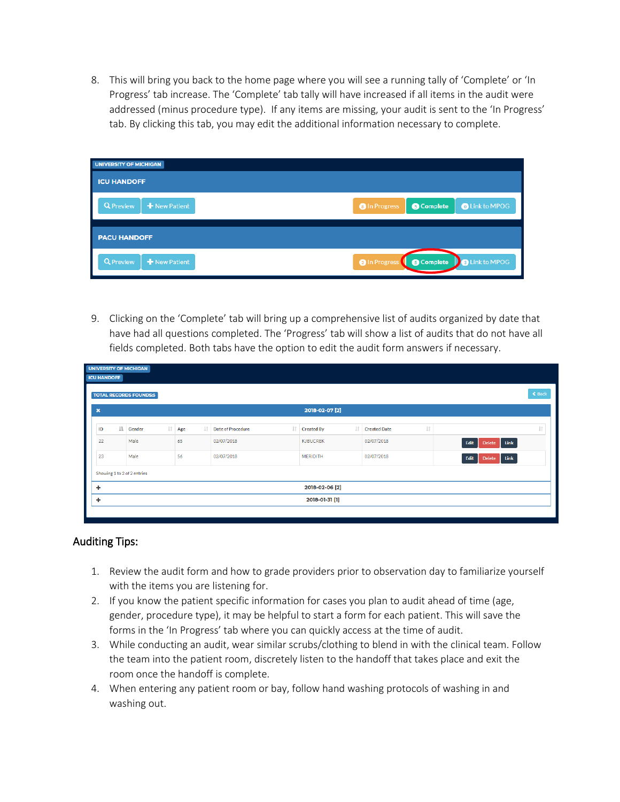8. This will bring you back to the home page where you will see a running tally of 'Complete' or 'In Progress' tab increase. The 'Complete' tab tally will have increased if all items in the audit were addressed (minus procedure type). If any items are missing, your audit is sent to the 'In Progress' tab. By clicking this tab, you may edit the additional information necessary to complete.

| UNIVERSITY OF MICHIGAN            |                      |                   |                       |
|-----------------------------------|----------------------|-------------------|-----------------------|
| <b>ICU HANDOFF</b>                |                      |                   |                       |
| + New Patient<br><b>Q</b> Preview | <b>O</b> In Progress | <b>6</b> Complete | <b>O</b> Link to MPOG |
| <b>PACU HANDOFF</b>               |                      |                   |                       |
| + New Patient<br><b>Q</b> Preview | <b>O</b> In Progress | <b>6</b> Complete | <b>D</b> Link to MPOG |

9. Clicking on the 'Complete' tab will bring up a comprehensive list of audits organized by date that have had all questions completed. The 'Progress' tab will show a list of audits that do not have all fields completed. Both tabs have the option to edit the audit form answers if necessary.

| <b>ICU HANDOFF</b>        |     | <b>TOTAL RECORDS FOUNDS:5</b> |     |     |                |                   |         |                   |                        |                       |                     | ← Back         |
|---------------------------|-----|-------------------------------|-----|-----|----------------|-------------------|---------|-------------------|------------------------|-----------------------|---------------------|----------------|
| $\boldsymbol{\mathsf{x}}$ |     |                               |     |     |                |                   |         | 2018-02-07 [2]    |                        |                       |                     |                |
| ID                        | Ii. | Gender                        | Jî. | Age | $\pm \uparrow$ | Date of Procedure | $\perp$ | <b>Created By</b> | <b>If Created Date</b> | $\downarrow \uparrow$ |                     | $  \uparrow  $ |
| 22                        |     | Male                          |     | 65  |                | 02/07/2018        |         | <b>KJBUCREK</b>   | 02/07/2018             |                       | Delete Link<br>Edit |                |
| 23                        |     | Male                          |     | 56  |                | 02/07/2018        |         | <b>MERIDITH</b>   | 02/07/2018             |                       | Delete Link<br>Edit |                |
|                           |     | Showing 1 to 2 of 2 entries   |     |     |                |                   |         |                   |                        |                       |                     |                |
| ٠                         |     |                               |     |     |                |                   |         | 2018-02-06 [2]    |                        |                       |                     |                |
| ۰                         |     |                               |     |     |                |                   |         | 2018-01-31 [1]    |                        |                       |                     |                |

## Auditing Tips:

- 1. Review the audit form and how to grade providers prior to observation day to familiarize yourself with the items you are listening for.
- 2. If you know the patient specific information for cases you plan to audit ahead of time (age, gender, procedure type), it may be helpful to start a form for each patient. This will save the forms in the 'In Progress' tab where you can quickly access at the time of audit.
- 3. While conducting an audit, wear similar scrubs/clothing to blend in with the clinical team. Follow the team into the patient room, discretely listen to the handoff that takes place and exit the room once the handoff is complete.
- 4. When entering any patient room or bay, follow hand washing protocols of washing in and washing out.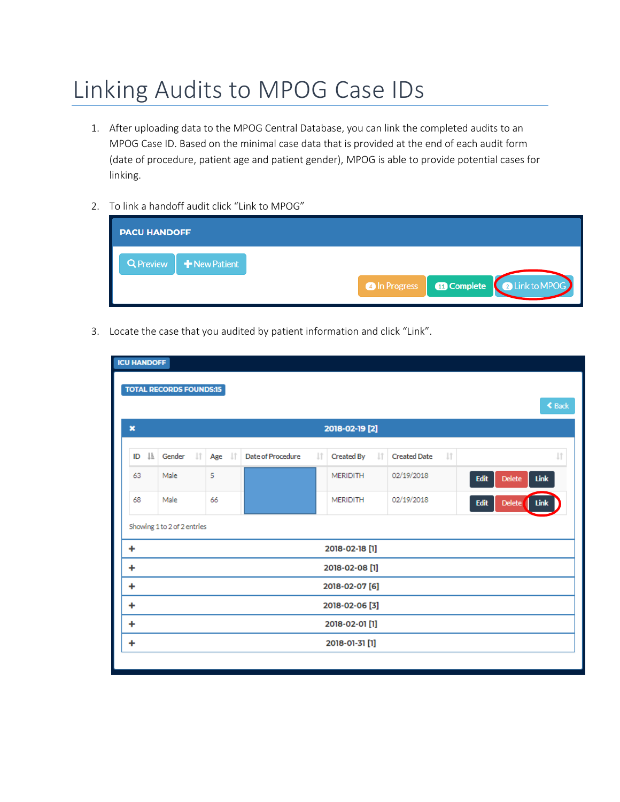# Linking Audits to MPOG Case IDs

- 1. After uploading data to the MPOG Central Database, you can link the completed audits to an MPOG Case ID. Based on the minimal case data that is provided at the end of each audit form (date of procedure, patient age and patient gender), MPOG is able to provide potential cases for linking.
- 2. To link a handoff audit click "Link to MPOG"

| O In Progress   <b>10 Complete</b>   2 Link to MPOG |
|-----------------------------------------------------|
|                                                     |

3. Locate the case that you audited by patient information and click "Link".

| <b>ICU HANDOFF</b> |     |                                |           |                   |                                                                                        |                                |                     |           |                                      |  |
|--------------------|-----|--------------------------------|-----------|-------------------|----------------------------------------------------------------------------------------|--------------------------------|---------------------|-----------|--------------------------------------|--|
|                    |     | <b>TOTAL RECORDS FOUNDS:15</b> |           |                   |                                                                                        |                                |                     |           |                                      |  |
|                    |     |                                |           |                   |                                                                                        |                                |                     |           | <b>≮</b> Back                        |  |
| $\mathbf x$        |     |                                |           |                   |                                                                                        |                                |                     |           |                                      |  |
|                    |     |                                |           |                   |                                                                                        |                                |                     |           |                                      |  |
| ID                 | JÄ. | <b>LT</b><br>Gender            | 11<br>Age | Date of Procedure | Jî.                                                                                    | <b>Lt</b><br><b>Created By</b> | <b>Created Date</b> | <b>Jî</b> | Jî                                   |  |
| 63                 |     | Male                           | 5         |                   |                                                                                        | <b>MERIDITH</b>                | 02/19/2018          |           | <b>Delete</b><br>Edit<br>Link        |  |
| 68                 |     | Male                           | 66        |                   |                                                                                        | <b>MERIDITH</b>                | 02/19/2018          |           | <b>Delete</b><br>Edit<br><b>Link</b> |  |
|                    |     | Showing 1 to 2 of 2 entries    |           |                   |                                                                                        |                                |                     |           |                                      |  |
| ٠                  |     |                                |           |                   |                                                                                        |                                |                     |           |                                      |  |
| ٠                  |     |                                |           |                   |                                                                                        |                                |                     |           |                                      |  |
| ٠                  |     |                                |           |                   |                                                                                        |                                |                     |           |                                      |  |
| ۰                  |     |                                |           |                   | 2018-02-19 [2]<br>2018-02-18 [1]<br>2018-02-08 [1]<br>2018-02-07 [6]<br>2018-02-06 [3] |                                |                     |           |                                      |  |
| ۰                  |     |                                |           |                   |                                                                                        | 2018-02-01 [1]                 |                     |           |                                      |  |
| ٠                  |     |                                |           |                   |                                                                                        | 2018-01-31 [1]                 |                     |           |                                      |  |
|                    |     |                                |           |                   |                                                                                        |                                |                     |           |                                      |  |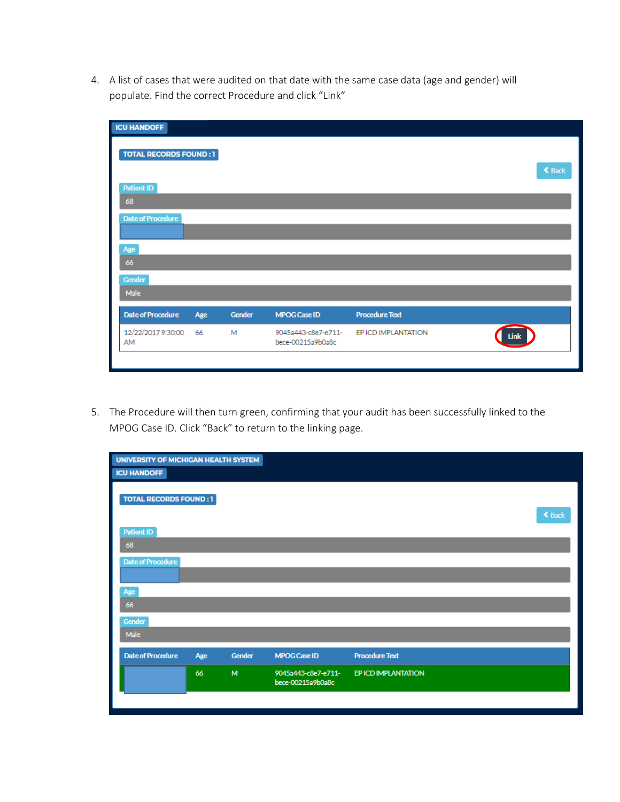4. A list of cases that were audited on that date with the same case data (age and gender) will populate. Find the correct Procedure and click "Link"

| <b>ICU HANDOFF</b>           |     |        |                                          |                       |               |
|------------------------------|-----|--------|------------------------------------------|-----------------------|---------------|
| <b>TOTAL RECORDS FOUND:1</b> |     |        |                                          |                       | <b>≮</b> Back |
| <b>Patient ID</b>            |     |        |                                          |                       |               |
| 68                           |     |        |                                          |                       |               |
| <b>Date of Procedure</b>     |     |        |                                          |                       |               |
|                              |     |        |                                          |                       |               |
| Age                          |     |        |                                          |                       |               |
| 66                           |     |        |                                          |                       |               |
| Gender                       |     |        |                                          |                       |               |
| Male                         |     |        |                                          |                       |               |
| <b>Date of Procedure</b>     | Age | Gender | <b>MPOG Case ID</b>                      | <b>Procedure Text</b> |               |
| 12/22/2017 9:30:00<br>AM     | 66  | M      | 9045a443-c8e7-e711-<br>bece-00215a9b0a8c | EP ICD IMPLANTATION   | <b>dink</b>   |
|                              |     |        |                                          |                       |               |

5. The Procedure will then turn green, confirming that your audit has been successfully linked to the MPOG Case ID. Click "Back" to return to the linking page.

| UNIVERSITY OF MICHIGAN HEALTH SYSTEM<br><b>ICU HANDOFF</b> |     |        |                                          |                       |  |
|------------------------------------------------------------|-----|--------|------------------------------------------|-----------------------|--|
| <b>TOTAL RECORDS FOUND:1</b>                               |     |        |                                          | <b>≮</b> Back         |  |
| <b>Patient ID</b>                                          |     |        |                                          |                       |  |
| 68                                                         |     |        |                                          |                       |  |
| <b>Date of Procedure</b>                                   |     |        |                                          |                       |  |
|                                                            |     |        |                                          |                       |  |
| Age                                                        |     |        |                                          |                       |  |
| 66                                                         |     |        |                                          |                       |  |
| Gender                                                     |     |        |                                          |                       |  |
| Male                                                       |     |        |                                          |                       |  |
| <b>Date of Procedure</b>                                   | Age | Gender | <b>MPOG Case ID</b>                      | <b>Procedure Text</b> |  |
|                                                            | 66  | M      | 9045a443-c8e7-e711-<br>bece-00215a9b0a8c | EP ICD IMPLANTATION   |  |
|                                                            |     |        |                                          |                       |  |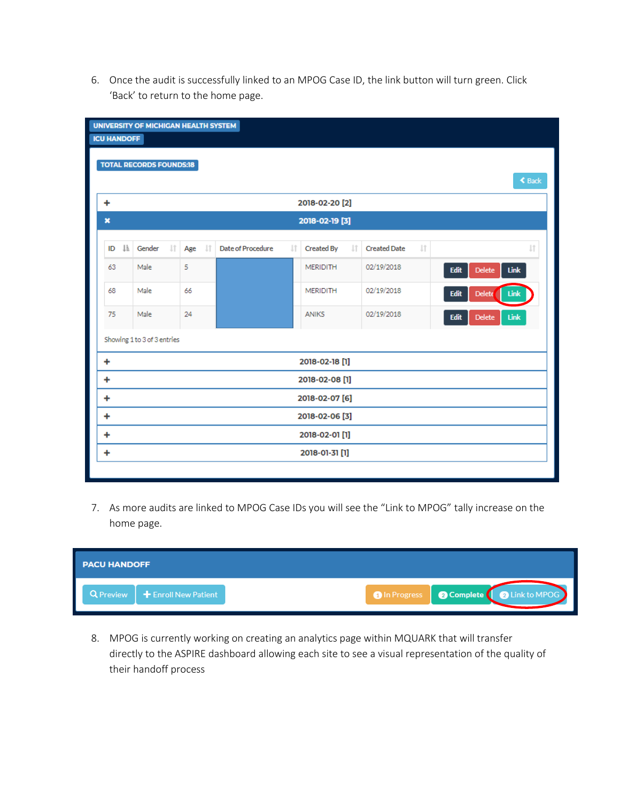6. Once the audit is successfully linked to an MPOG Case ID, the link button will turn green. Click 'Back' to return to the home page.

|                           | UNIVERSITY OF MICHIGAN HEALTH SYSTEM |                        |                   |     |                         |                     |                       |                          |                      |  |
|---------------------------|--------------------------------------|------------------------|-------------------|-----|-------------------------|---------------------|-----------------------|--------------------------|----------------------|--|
| <b>ICU HANDOFF</b>        |                                      |                        |                   |     |                         |                     |                       |                          |                      |  |
|                           | <b>TOTAL RECORDS FOUNDS:18</b>       |                        |                   |     |                         |                     |                       |                          |                      |  |
|                           |                                      |                        |                   |     |                         |                     |                       |                          | $\triangle$ Back     |  |
| ٠                         |                                      |                        |                   |     | 2018-02-20 [2]          |                     |                       |                          |                      |  |
| $\boldsymbol{\mathsf{x}}$ |                                      |                        |                   |     | 2018-02-19 [3]          |                     |                       |                          |                      |  |
| <b>Ii</b><br>ID           | Gender                               | 11<br><b>It</b><br>Age | Date of Procedure | Jî. | <b>It</b><br>Created By | <b>Created Date</b> | $\downarrow \uparrow$ |                          | $\downarrow\uparrow$ |  |
| 63                        | Male                                 | 5                      |                   |     | <b>MERIDITH</b>         | 02/19/2018          |                       | Edit<br><b>Delete</b>    | Link                 |  |
| 68                        | Male                                 | 66                     |                   |     | <b>MERIDITH</b>         | 02/19/2018          |                       | <b>Edit</b><br>$D$ elete | Link                 |  |
| 75                        | Male                                 | 24                     |                   |     | <b>ANIKS</b>            | 02/19/2018          |                       | Edit<br><b>Delete</b>    | Link                 |  |
|                           |                                      |                        |                   |     |                         |                     |                       |                          |                      |  |
|                           | Showing 1 to 3 of 3 entries          |                        |                   |     |                         |                     |                       |                          |                      |  |
| ٠                         |                                      |                        |                   |     | 2018-02-18 [1]          |                     |                       |                          |                      |  |
| ٠                         |                                      |                        |                   |     | 2018-02-08 [1]          |                     |                       |                          |                      |  |
| ٠                         |                                      |                        |                   |     | 2018-02-07 [6]          |                     |                       |                          |                      |  |
| ٠                         |                                      |                        |                   |     | 2018-02-06 [3]          |                     |                       |                          |                      |  |
| ٠                         |                                      |                        |                   |     | 2018-02-01 [1]          |                     |                       |                          |                      |  |
| ٠                         |                                      |                        |                   |     | 2018-01-31 [1]          |                     |                       |                          |                      |  |

7. As more audits are linked to MPOG Case IDs you will see the "Link to MPOG" tally increase on the home page.

| <b>PACU HANDOFF</b>              |                                                    |
|----------------------------------|----------------------------------------------------|
| Q Preview   + Enroll New Patient | O In Progress <b>@ Complete</b> ( @ Link to MPOG ) |

8. MPOG is currently working on creating an analytics page within MQUARK that will transfer directly to the ASPIRE dashboard allowing each site to see a visual representation of the quality of their handoff process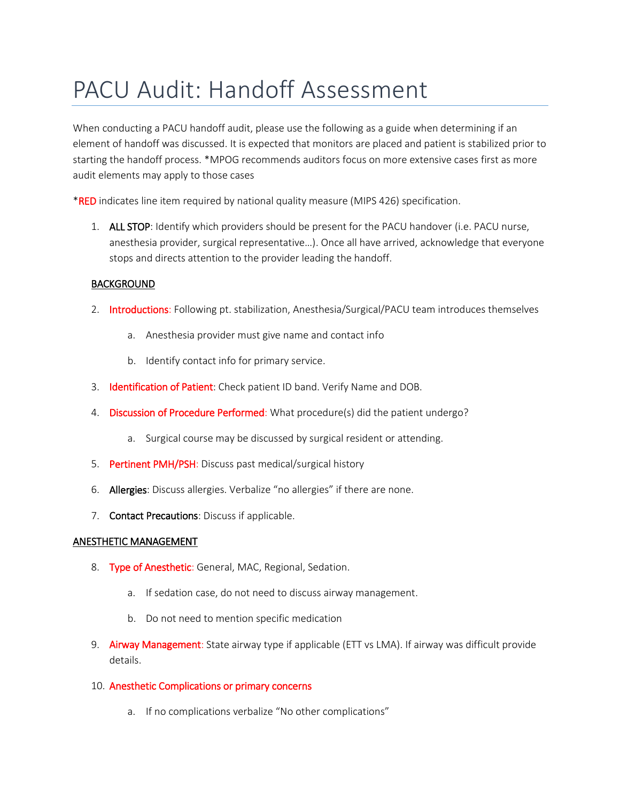# PACU Audit: Handoff Assessment

When conducting a PACU handoff audit, please use the following as a guide when determining if an element of handoff was discussed. It is expected that monitors are placed and patient is stabilized prior to starting the handoff process. \*MPOG recommends auditors focus on more extensive cases first as more audit elements may apply to those cases

**\*RED** indicates line item required by national quality measure (MIPS 426) specification.

1. ALL STOP: Identify which providers should be present for the PACU handover (i.e. PACU nurse, anesthesia provider, surgical representative…). Once all have arrived, acknowledge that everyone stops and directs attention to the provider leading the handoff.

### BACKGROUND

- 2. Introductions: Following pt. stabilization, Anesthesia/Surgical/PACU team introduces themselves
	- a. Anesthesia provider must give name and contact info
	- b. Identify contact info for primary service.
- 3. Identification of Patient: Check patient ID band. Verify Name and DOB.
- 4. Discussion of Procedure Performed: What procedure(s) did the patient undergo?
	- a. Surgical course may be discussed by surgical resident or attending.
- 5. Pertinent PMH/PSH: Discuss past medical/surgical history
- 6. Allergies: Discuss allergies. Verbalize "no allergies" if there are none.
- 7. Contact Precautions: Discuss if applicable.

### ANESTHETIC MANAGEMENT

- 8. Type of Anesthetic: General, MAC, Regional, Sedation.
	- a. If sedation case, do not need to discuss airway management.
	- b. Do not need to mention specific medication
- 9. Airway Management: State airway type if applicable (ETT vs LMA). If airway was difficult provide details.
- 10. Anesthetic Complications or primary concerns
	- a. If no complications verbalize "No other complications"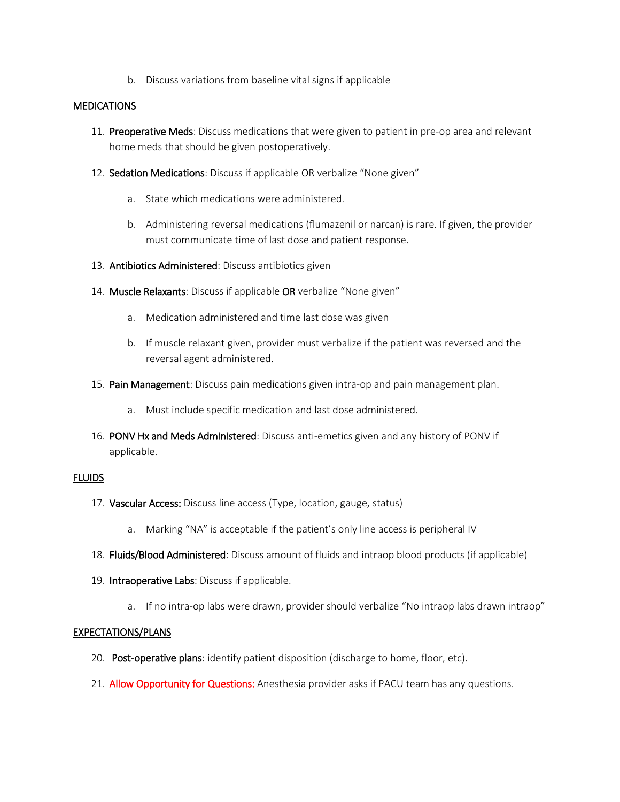b. Discuss variations from baseline vital signs if applicable

#### **MEDICATIONS**

- 11. Preoperative Meds: Discuss medications that were given to patient in pre-op area and relevant home meds that should be given postoperatively.
- 12. Sedation Medications: Discuss if applicable OR verbalize "None given"
	- a. State which medications were administered.
	- b. Administering reversal medications (flumazenil or narcan) is rare. If given, the provider must communicate time of last dose and patient response.
- 13. Antibiotics Administered: Discuss antibiotics given
- 14. Muscle Relaxants: Discuss if applicable OR verbalize "None given"
	- a. Medication administered and time last dose was given
	- b. If muscle relaxant given, provider must verbalize if the patient was reversed and the reversal agent administered.
- 15. Pain Management: Discuss pain medications given intra-op and pain management plan.
	- a. Must include specific medication and last dose administered.
- 16. PONV Hx and Meds Administered: Discuss anti-emetics given and any history of PONV if applicable.

### **FLUIDS**

- 17. Vascular Access: Discuss line access (Type, location, gauge, status)
	- a. Marking "NA" is acceptable if the patient's only line access is peripheral IV
- 18. Fluids/Blood Administered: Discuss amount of fluids and intraop blood products (if applicable)
- 19. Intraoperative Labs: Discuss if applicable.
	- a. If no intra-op labs were drawn, provider should verbalize "No intraop labs drawn intraop"

#### EXPECTATIONS/PLANS

- 20. Post-operative plans: identify patient disposition (discharge to home, floor, etc).
- 21. Allow Opportunity for Questions: Anesthesia provider asks if PACU team has any questions.